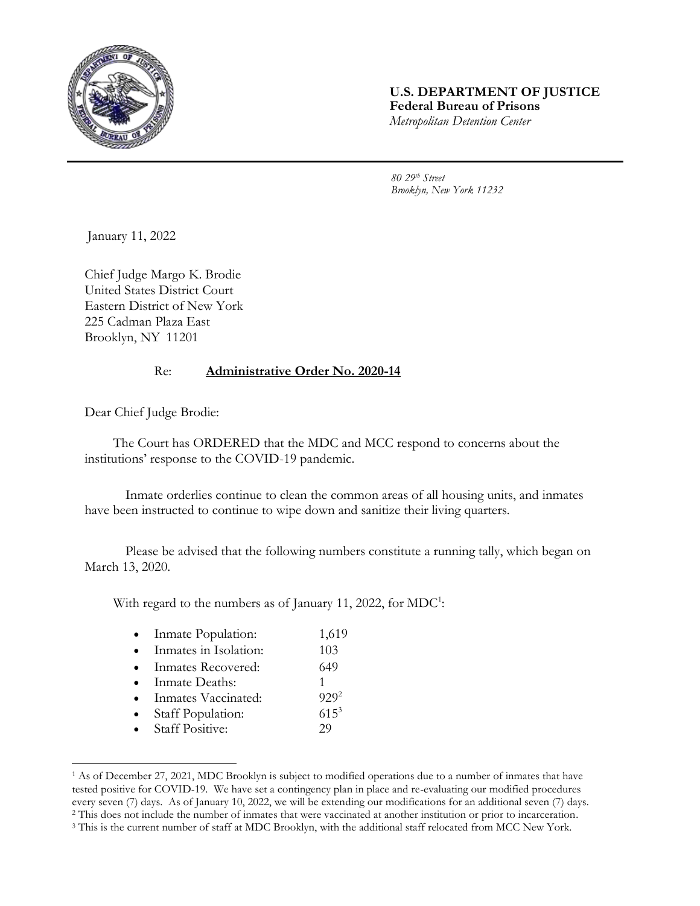

## **U.S. DEPARTMENT OF JUSTICE Federal Bureau of Prisons** *Metropolitan Detention Center*

*80 29th Street Brooklyn, New York 11232*

January 11, 2022

Chief Judge Margo K. Brodie United States District Court Eastern District of New York 225 Cadman Plaza East Brooklyn, NY 11201

## Re: **Administrative Order No. 2020-14**

Dear Chief Judge Brodie:

l

The Court has ORDERED that the MDC and MCC respond to concerns about the institutions' response to the COVID-19 pandemic.

Inmate orderlies continue to clean the common areas of all housing units, and inmates have been instructed to continue to wipe down and sanitize their living quarters.

Please be advised that the following numbers constitute a running tally, which began on March 13, 2020.

With regard to the numbers as of January 11, 2022, for  $\text{MDC}^1$ :

|  |  | Inmate Population: | 1,619 |  |
|--|--|--------------------|-------|--|
|--|--|--------------------|-------|--|

- Inmates in Isolation: 103
- Inmates Recovered: 649
- Inmate Deaths: 1
- Inmates Vaccinated: 929<sup>2</sup>
- Staff Population: 615<sup>3</sup>
- Staff Positive: 29

<sup>1</sup> As of December 27, 2021, MDC Brooklyn is subject to modified operations due to a number of inmates that have tested positive for COVID-19. We have set a contingency plan in place and re-evaluating our modified procedures every seven (7) days. As of January 10, 2022, we will be extending our modifications for an additional seven (7) days. <sup>2</sup> This does not include the number of inmates that were vaccinated at another institution or prior to incarceration.

<sup>&</sup>lt;sup>3</sup> This is the current number of staff at MDC Brooklyn, with the additional staff relocated from MCC New York.